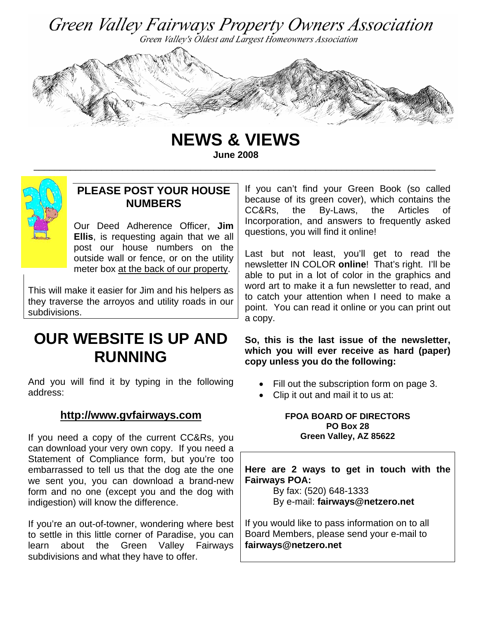



**NEWS & VIEWS June 2008** 

\_\_\_\_\_\_\_\_\_\_\_\_\_\_\_\_\_\_\_\_\_\_\_\_\_\_\_\_\_\_\_\_\_\_\_\_\_\_\_\_\_\_\_\_\_\_\_\_\_\_\_\_\_\_\_\_\_\_\_\_\_\_\_\_\_\_\_\_\_\_\_\_\_\_\_\_\_



# **PLEASE POST YOUR HOUSE NUMBERS**

Our Deed Adherence Officer, **Jim Ellis**, is requesting again that we all post our house numbers on the outside wall or fence, or on the utility meter box at the back of our property.

This will make it easier for Jim and his helpers as they traverse the arroyos and utility roads in our subdivisions.

# **OUR WEBSITE IS UP AND RUNNING**

And you will find it by typing in the following address:

# **http://www.gvfairways.com**

If you need a copy of the current CC&Rs, you can download your very own copy. If you need a Statement of Compliance form, but you're too embarrassed to tell us that the dog ate the one we sent you, you can download a brand-new form and no one (except you and the dog with indigestion) will know the difference.

If you're an out-of-towner, wondering where best to settle in this little corner of Paradise, you can learn about the Green Valley Fairways subdivisions and what they have to offer.

If you can't find your Green Book (so called because of its green cover), which contains the CC&Rs, the By-Laws, the Articles of Incorporation, and answers to frequently asked questions, you will find it online!

Last but not least, you'll get to read the newsletter IN COLOR **online**! That's right. I'll be able to put in a lot of color in the graphics and word art to make it a fun newsletter to read, and to catch your attention when I need to make a point. You can read it online or you can print out a copy.

**So, this is the last issue of the newsletter, which you will ever receive as hard (paper) copy unless you do the following:** 

- Fill out the subscription form on page 3.
- Clip it out and mail it to us at:

#### **FPOA BOARD OF DIRECTORS PO Box 28 Green Valley, AZ 85622**

**Here are 2 ways to get in touch with the Fairways POA:** 

By fax: (520) 648-1333 By e-mail: **fairways@netzero.net** 

If you would like to pass information on to all Board Members, please send your e-mail to **fairways@netzero.net**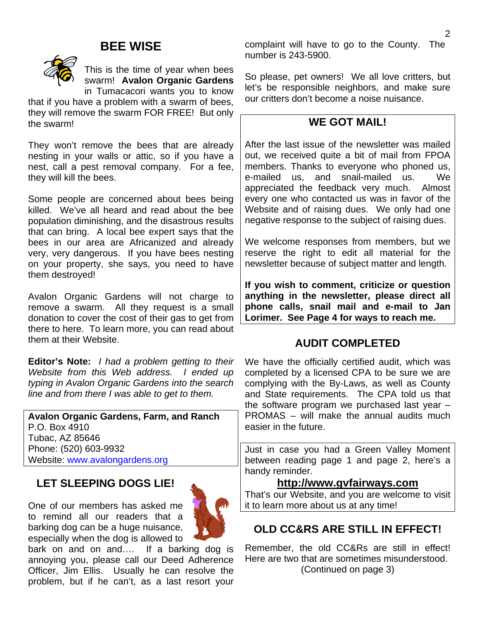# **BEE WISE**



This is the time of year when bees swarm! **Avalon Organic Gardens**  in Tumacacori wants you to know

that if you have a problem with a swarm of bees, they will remove the swarm FOR FREE! But only the swarm!

They won't remove the bees that are already nesting in your walls or attic, so if you have a nest, call a pest removal company. For a fee, they will kill the bees.

Some people are concerned about bees being killed. We've all heard and read about the bee population diminishing, and the disastrous results that can bring. A local bee expert says that the bees in our area are Africanized and already very, very dangerous. If you have bees nesting on your property, she says, you need to have them destroyed!

Avalon Organic Gardens will not charge to remove a swarm. All they request is a small donation to cover the cost of their gas to get from there to here. To learn more, you can read about them at their Website.

**Editor's Note:** *I had a problem getting to their Website from this Web address. I ended up typing in Avalon Organic Gardens into the search line and from there I was able to get to them.* 

| <b>Avalon Organic Gardens, Farm, and Ranch</b> |
|------------------------------------------------|
| P.O. Box 4910                                  |
| Tubac, AZ 85646                                |
| Phone: (520) 603-9932                          |
| Website: www.avalongardens.org                 |

# **LET SLEEPING DOGS LIE!**

One of our members has asked me to remind all our readers that a barking dog can be a huge nuisance, especially when the dog is allowed to



bark on and on and.... If a barking dog is annoying you, please call our Deed Adherence Officer, Jim Ellis. Usually he can resolve the problem, but if he can't, as a last resort your

complaint will have to go to the County. The number is 243-5900.

So please, pet owners! We all love critters, but let's be responsible neighbors, and make sure our critters don't become a noise nuisance.

## **WE GOT MAIL!**

After the last issue of the newsletter was mailed out, we received quite a bit of mail from FPOA members. Thanks to everyone who phoned us, e-mailed us, and snail-mailed us. We appreciated the feedback very much. Almost every one who contacted us was in favor of the Website and of raising dues. We only had one negative response to the subject of raising dues.

We welcome responses from members, but we reserve the right to edit all material for the newsletter because of subject matter and length.

**If you wish to comment, criticize or question anything in the newsletter, please direct all phone calls, snail mail and e-mail to Jan Lorimer. See Page 4 for ways to reach me.** 

## **AUDIT COMPLETED**

We have the officially certified audit, which was completed by a licensed CPA to be sure we are complying with the By-Laws, as well as County and State requirements. The CPA told us that the software program we purchased last year – PROMAS – will make the annual audits much easier in the future.

Just in case you had a Green Valley Moment between reading page 1 and page 2, here's a handy reminder.

### **http://www.gvfairways.com**

That's our Website, and you are welcome to visit it to learn more about us at any time!

# **OLD CC&RS ARE STILL IN EFFECT!**

Remember, the old CC&Rs are still in effect! Here are two that are sometimes misunderstood. (Continued on page 3)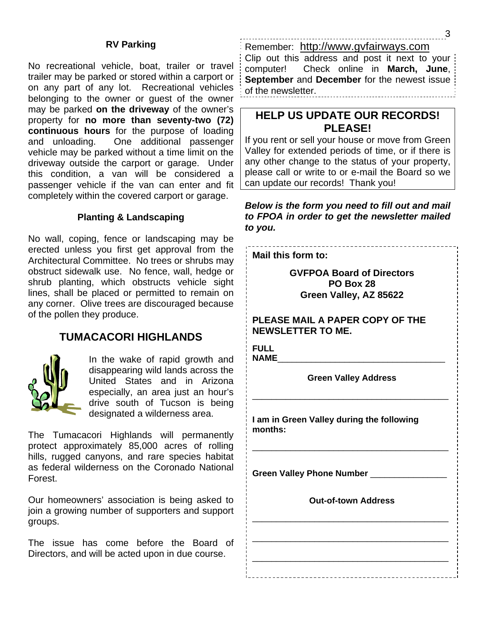#### **RV Parking**

No recreational vehicle, boat, trailer or travel trailer may be parked or stored within a carport or on any part of any lot. Recreational vehicles belonging to the owner or guest of the owner may be parked **on the driveway** of the owner's property for **no more than seventy-two (72) continuous hours** for the purpose of loading and unloading. One additional passenger vehicle may be parked without a time limit on the driveway outside the carport or garage. Under this condition, a van will be considered a passenger vehicle if the van can enter and fit completely within the covered carport or garage.

#### **Planting & Landscaping**

No wall, coping, fence or landscaping may be erected unless you first get approval from the Architectural Committee. No trees or shrubs may obstruct sidewalk use. No fence, wall, hedge or shrub planting, which obstructs vehicle sight lines, shall be placed or permitted to remain on any corner. Olive trees are discouraged because of the pollen they produce.

#### **TUMACACORI HIGHLANDS**



In the wake of rapid growth and disappearing wild lands across the United States and in Arizona especially, an area just an hour's drive south of Tucson is being designated a wilderness area.

The Tumacacori Highlands will permanently protect approximately 85,000 acres of rolling hills, rugged canyons, and rare species habitat as federal wilderness on the Coronado National Forest.

Our homeowners' association is being asked to join a growing number of supporters and support groups.

The issue has come before the Board of Directors, and will be acted upon in due course.

Remember: http://www.gvfairways.com

Clip out this address and post it next to your computer! Check online in **March, June**, **September** and **December** for the newest issue of the newsletter.

## **HELP US UPDATE OUR RECORDS! PLEASE!**

If you rent or sell your house or move from Green Valley for extended periods of time, or if there is any other change to the status of your property, please call or write to or e-mail the Board so we can update our records! Thank you!

*Below is the form you need to fill out and mail to FPOA in order to get the newsletter mailed to you.* 

**Mail this form to:** 

**GVFPOA Board of Directors PO Box 28 Green Valley, AZ 85622** 

**PLEASE MAIL A PAPER COPY OF THE NEWSLETTER TO ME.** 

**FULL**  NAME

**Green Valley Address** 

\_\_\_\_\_\_\_\_\_\_\_\_\_\_\_\_\_\_\_\_\_\_\_\_\_\_\_\_\_\_\_\_\_\_\_\_\_\_\_\_\_

\_\_\_\_\_\_\_\_\_\_\_\_\_\_\_\_\_\_\_\_\_\_\_\_\_\_\_\_\_\_\_\_\_\_\_\_\_\_\_\_\_

**I am in Green Valley during the following months:** 

Green Valley Phone Number \_\_\_\_\_\_\_\_\_\_\_\_\_\_

**Out-of-town Address** 

\_\_\_\_\_\_\_\_\_\_\_\_\_\_\_\_\_\_\_\_\_\_\_\_\_\_\_\_\_\_\_\_\_\_\_\_\_\_\_\_\_

\_\_\_\_\_\_\_\_\_\_\_\_\_\_\_\_\_\_\_\_\_\_\_\_\_\_\_\_\_\_\_\_\_\_\_\_\_\_\_\_\_

\_\_\_\_\_\_\_\_\_\_\_\_\_\_\_\_\_\_\_\_\_\_\_\_\_\_\_\_\_\_\_\_\_\_\_\_\_\_\_\_\_